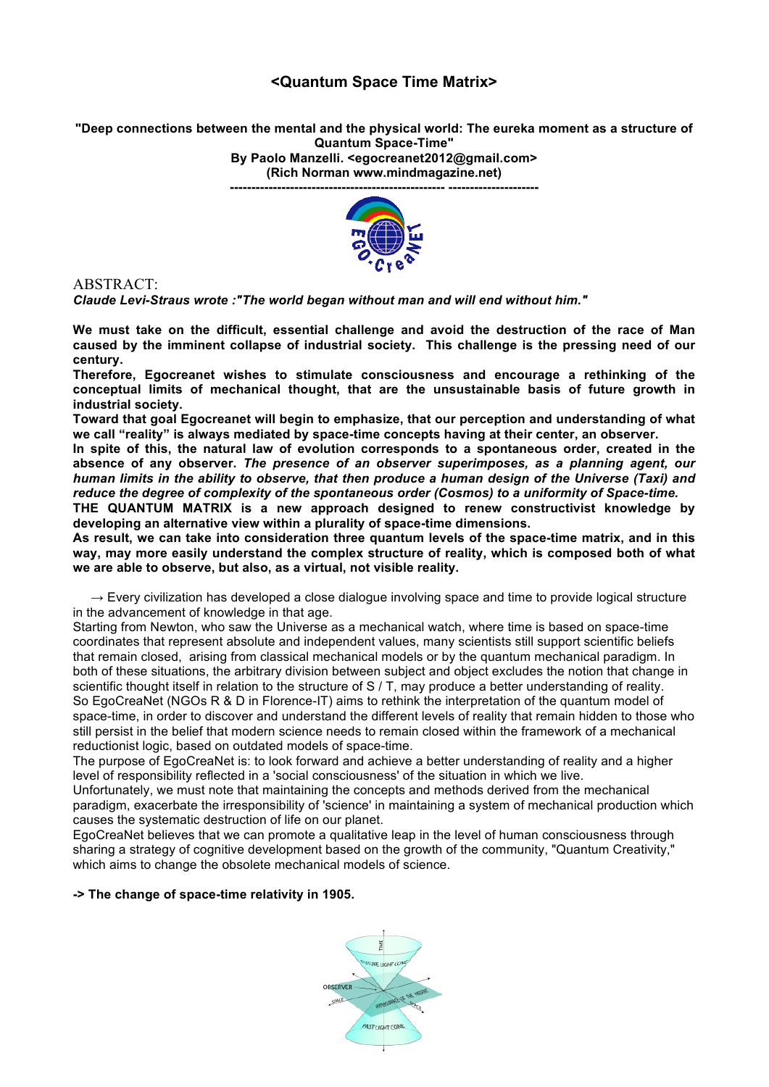## **<Quantum Space Time Matrix>**

**"Deep connections between the mental and the physical world: The eureka moment as a structure of Quantum Space-Time"** 

**By Paolo Manzelli. <egocreanet2012@gmail.com> (Rich Norman www.mindmagazine.net)** 

**-------------------------------------------------- ---------------------**



ABSTRACT:

*Claude Levi-Straus wrote :"The world began without man and will end without him."* 

**We must take on the difficult, essential challenge and avoid the destruction of the race of Man caused by the imminent collapse of industrial society. This challenge is the pressing need of our century.** 

**Therefore, Egocreanet wishes to stimulate consciousness and encourage a rethinking of the conceptual limits of mechanical thought, that are the unsustainable basis of future growth in industrial society.** 

**Toward that goal Egocreanet will begin to emphasize, that our perception and understanding of what we call "reality" is always mediated by space-time concepts having at their center, an observer.** 

**In spite of this, the natural law of evolution corresponds to a spontaneous order, created in the absence of any observer.** *The presence of an observer superimposes, as a planning agent, our human limits in the ability to observe, that then produce a human design of the Universe (Taxi) and reduce the degree of complexity of the spontaneous order (Cosmos) to a uniformity of Space-time.*

**THE QUANTUM MATRIX is a new approach designed to renew constructivist knowledge by developing an alternative view within a plurality of space-time dimensions.**

**As result, we can take into consideration three quantum levels of the space-time matrix, and in this way, may more easily understand the complex structure of reality, which is composed both of what we are able to observe, but also, as a virtual, not visible reality.**

 $\rightarrow$  Every civilization has developed a close dialogue involving space and time to provide logical structure in the advancement of knowledge in that age.

Starting from Newton, who saw the Universe as a mechanical watch, where time is based on space-time coordinates that represent absolute and independent values, many scientists still support scientific beliefs that remain closed, arising from classical mechanical models or by the quantum mechanical paradigm. In both of these situations, the arbitrary division between subject and object excludes the notion that change in scientific thought itself in relation to the structure of S / T, may produce a better understanding of reality. So EgoCreaNet (NGOs R & D in Florence-IT) aims to rethink the interpretation of the quantum model of space-time, in order to discover and understand the different levels of reality that remain hidden to those who still persist in the belief that modern science needs to remain closed within the framework of a mechanical reductionist logic, based on outdated models of space-time.

The purpose of EgoCreaNet is: to look forward and achieve a better understanding of reality and a higher level of responsibility reflected in a 'social consciousness' of the situation in which we live.

Unfortunately, we must note that maintaining the concepts and methods derived from the mechanical paradigm, exacerbate the irresponsibility of 'science' in maintaining a system of mechanical production which causes the systematic destruction of life on our planet.

EgoCreaNet believes that we can promote a qualitative leap in the level of human consciousness through sharing a strategy of cognitive development based on the growth of the community, "Quantum Creativity," which aims to change the obsolete mechanical models of science.

**-> The change of space-time relativity in 1905.**

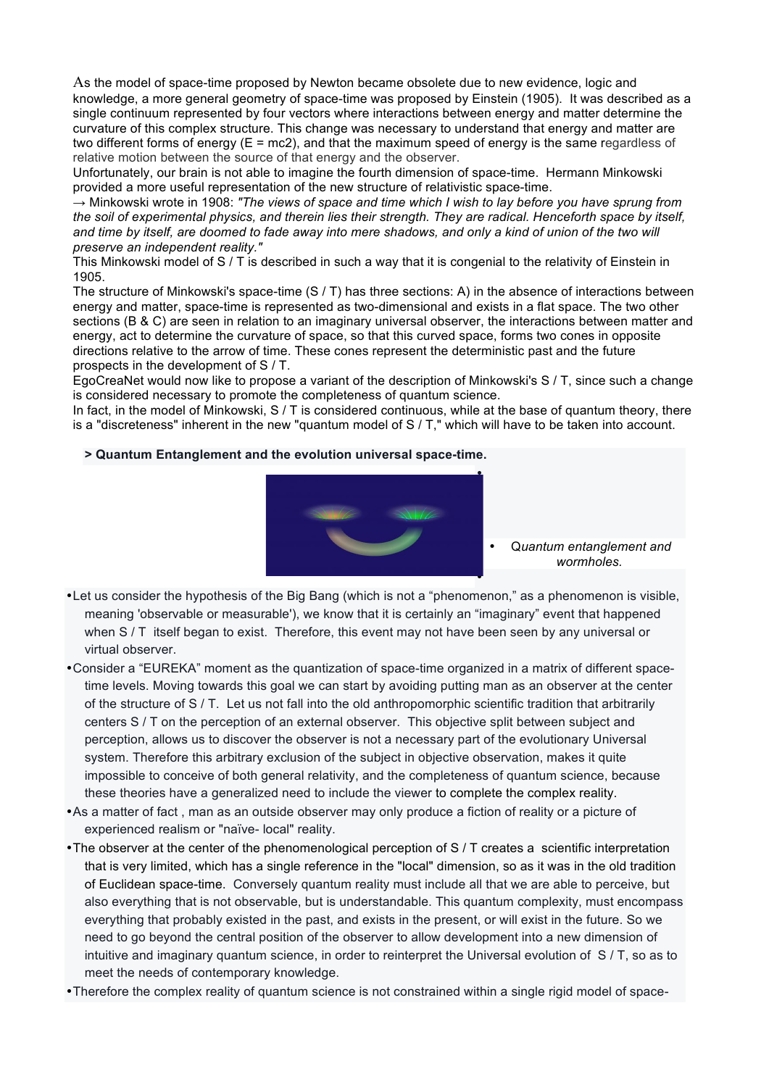As the model of space-time proposed by Newton became obsolete due to new evidence, logic and knowledge, a more general geometry of space-time was proposed by Einstein (1905). It was described as a single continuum represented by four vectors where interactions between energy and matter determine the curvature of this complex structure. This change was necessary to understand that energy and matter are two different forms of energy  $(E = mc2)$ , and that the maximum speed of energy is the same regardless of relative motion between the source of that energy and the observer.

Unfortunately, our brain is not able to imagine the fourth dimension of space-time. Hermann Minkowski provided a more useful representation of the new structure of relativistic space-time.

→ Minkowski wrote in 1908: *"The views of space and time which I wish to lay before you have sprung from the soil of experimental physics, and therein lies their strength. They are radical. Henceforth space by itself,*  and time by itself, are doomed to fade away into mere shadows, and only a kind of union of the two will *preserve an independent reality."*

This Minkowski model of S / T is described in such a way that it is congenial to the relativity of Einstein in 1905.

The structure of Minkowski's space-time (S / T) has three sections: A) in the absence of interactions between energy and matter, space-time is represented as two-dimensional and exists in a flat space. The two other sections (B & C) are seen in relation to an imaginary universal observer, the interactions between matter and energy, act to determine the curvature of space, so that this curved space, forms two cones in opposite directions relative to the arrow of time. These cones represent the deterministic past and the future prospects in the development of S / T.

EgoCreaNet would now like to propose a variant of the description of Minkowski's S / T, since such a change is considered necessary to promote the completeness of quantum science.

In fact, in the model of Minkowski, S / T is considered continuous, while at the base of quantum theory, there is a "discreteness" inherent in the new "quantum model of S / T," which will have to be taken into account.

#### **> Quantum Entanglement and the evolution universal space-time.**



• Q*uantum entanglement and wormholes.*

- •Let us consider the hypothesis of the Big Bang (which is not a "phenomenon," as a phenomenon is visible, meaning 'observable or measurable'), we know that it is certainly an "imaginary" event that happened when S / T itself began to exist. Therefore, this event may not have been seen by any universal or virtual observer.
- •Consider a "EUREKA" moment as the quantization of space-time organized in a matrix of different spacetime levels. Moving towards this goal we can start by avoiding putting man as an observer at the center of the structure of S / T. Let us not fall into the old anthropomorphic scientific tradition that arbitrarily centers S / T on the perception of an external observer. This objective split between subject and perception, allows us to discover the observer is not a necessary part of the evolutionary Universal system. Therefore this arbitrary exclusion of the subject in objective observation, makes it quite impossible to conceive of both general relativity, and the completeness of quantum science, because these theories have a generalized need to include the viewer to complete the complex reality.
- •As a matter of fact , man as an outside observer may only produce a fiction of reality or a picture of experienced realism or "naïve- local" reality.
- •The observer at the center of the phenomenological perception of S / T creates a scientific interpretation that is very limited, which has a single reference in the "local" dimension, so as it was in the old tradition of Euclidean space-time. Conversely quantum reality must include all that we are able to perceive, but also everything that is not observable, but is understandable. This quantum complexity, must encompass everything that probably existed in the past, and exists in the present, or will exist in the future. So we need to go beyond the central position of the observer to allow development into a new dimension of intuitive and imaginary quantum science, in order to reinterpret the Universal evolution of S / T, so as to meet the needs of contemporary knowledge.
- •Therefore the complex reality of quantum science is not constrained within a single rigid model of space-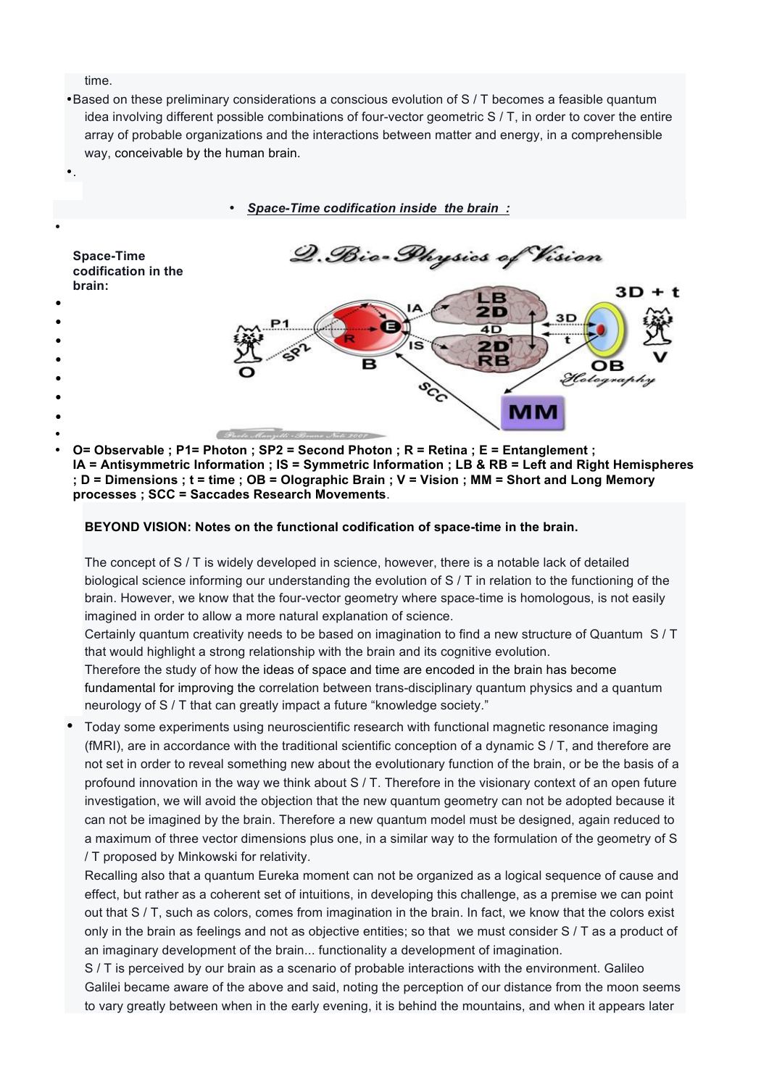time.

•.

•Based on these preliminary considerations a conscious evolution of S / T becomes a feasible quantum idea involving different possible combinations of four-vector geometric S / T, in order to cover the entire array of probable organizations and the interactions between matter and energy, in a comprehensible way, conceivable by the human brain.

• *Space-Time codification inside the brain :*



• **O= Observable ; P1= Photon ; SP2 = Second Photon ; R = Retina ; E = Entanglement ; IA = Antisymmetric Information ; IS = Symmetric Information ; LB & RB = Left and Right Hemispheres ; D = Dimensions ; t = time ; OB = Olographic Brain ; V = Vision ; MM = Short and Long Memory processes ; SCC = Saccades Research Movements**.

### **BEYOND VISION: Notes on the functional codification of space-time in the brain.**

The concept of S / T is widely developed in science, however, there is a notable lack of detailed biological science informing our understanding the evolution of S / T in relation to the functioning of the brain. However, we know that the four-vector geometry where space-time is homologous, is not easily imagined in order to allow a more natural explanation of science.

Certainly quantum creativity needs to be based on imagination to find a new structure of Quantum S / T that would highlight a strong relationship with the brain and its cognitive evolution.

Therefore the study of how the ideas of space and time are encoded in the brain has become fundamental for improving the correlation between trans-disciplinary quantum physics and a quantum neurology of S / T that can greatly impact a future "knowledge society."

• Today some experiments using neuroscientific research with functional magnetic resonance imaging (fMRI), are in accordance with the traditional scientific conception of a dynamic S / T, and therefore are not set in order to reveal something new about the evolutionary function of the brain, or be the basis of a profound innovation in the way we think about S / T. Therefore in the visionary context of an open future investigation, we will avoid the objection that the new quantum geometry can not be adopted because it can not be imagined by the brain. Therefore a new quantum model must be designed, again reduced to a maximum of three vector dimensions plus one, in a similar way to the formulation of the geometry of S / T proposed by Minkowski for relativity.

Recalling also that a quantum Eureka moment can not be organized as a logical sequence of cause and effect, but rather as a coherent set of intuitions, in developing this challenge, as a premise we can point out that S / T, such as colors, comes from imagination in the brain. In fact, we know that the colors exist only in the brain as feelings and not as objective entities; so that we must consider S / T as a product of an imaginary development of the brain... functionality a development of imagination.

S / T is perceived by our brain as a scenario of probable interactions with the environment. Galileo Galilei became aware of the above and said, noting the perception of our distance from the moon seems to vary greatly between when in the early evening, it is behind the mountains, and when it appears later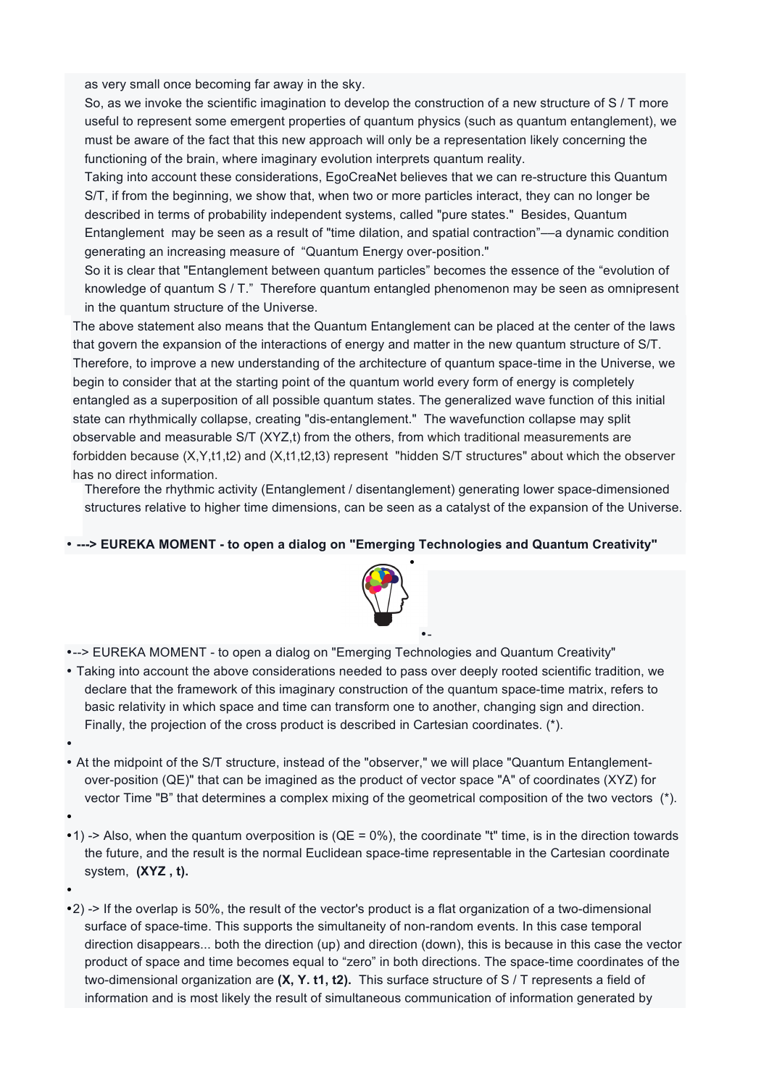as very small once becoming far away in the sky.

So, as we invoke the scientific imagination to develop the construction of a new structure of S / T more useful to represent some emergent properties of quantum physics (such as quantum entanglement), we must be aware of the fact that this new approach will only be a representation likely concerning the functioning of the brain, where imaginary evolution interprets quantum reality.

Taking into account these considerations, EgoCreaNet believes that we can re-structure this Quantum S/T, if from the beginning, we show that, when two or more particles interact, they can no longer be described in terms of probability independent systems, called "pure states." Besides, Quantum Entanglement may be seen as a result of "time dilation, and spatial contraction"––a dynamic condition generating an increasing measure of "Quantum Energy over-position."

So it is clear that "Entanglement between quantum particles" becomes the essence of the "evolution of knowledge of quantum S / T." Therefore quantum entangled phenomenon may be seen as omnipresent in the quantum structure of the Universe.

The above statement also means that the Quantum Entanglement can be placed at the center of the laws that govern the expansion of the interactions of energy and matter in the new quantum structure of S/T. Therefore, to improve a new understanding of the architecture of quantum space-time in the Universe, we begin to consider that at the starting point of the quantum world every form of energy is completely entangled as a superposition of all possible quantum states. The generalized wave function of this initial state can rhythmically collapse, creating "dis-entanglement." The wavefunction collapse may split observable and measurable S/T (XYZ,t) from the others, from which traditional measurements are forbidden because (X,Y,t1,t2) and (X,t1,t2,t3) represent "hidden S/T structures" about which the observer has no direct information.

Therefore the rhythmic activity (Entanglement / disentanglement) generating lower space-dimensioned structures relative to higher time dimensions, can be seen as a catalyst of the expansion of the Universe.

### • **---> EUREKA MOMENT - to open a dialog on "Emerging Technologies and Quantum Creativity"**



•-

- •--> EUREKA MOMENT to open a dialog on "Emerging Technologies and Quantum Creativity"
- Taking into account the above considerations needed to pass over deeply rooted scientific tradition, we declare that the framework of this imaginary construction of the quantum space-time matrix, refers to basic relativity in which space and time can transform one to another, changing sign and direction. Finally, the projection of the cross product is described in Cartesian coordinates. (\*).
- •
- At the midpoint of the S/T structure, instead of the "observer," we will place "Quantum Entanglementover-position (QE)" that can be imagined as the product of vector space "A" of coordinates (XYZ) for vector Time "B" that determines a complex mixing of the geometrical composition of the two vectors (\*).
- •
- •1) -> Also, when the quantum overposition is ( $QE = 0\%$ ), the coordinate "t" time, is in the direction towards the future, and the result is the normal Euclidean space-time representable in the Cartesian coordinate system, **(XYZ , t).**
- •

•2) -> If the overlap is 50%, the result of the vector's product is a flat organization of a two-dimensional surface of space-time. This supports the simultaneity of non-random events. In this case temporal direction disappears... both the direction (up) and direction (down), this is because in this case the vector product of space and time becomes equal to "zero" in both directions. The space-time coordinates of the two-dimensional organization are **(X, Y. t1, t2).** This surface structure of S / T represents a field of information and is most likely the result of simultaneous communication of information generated by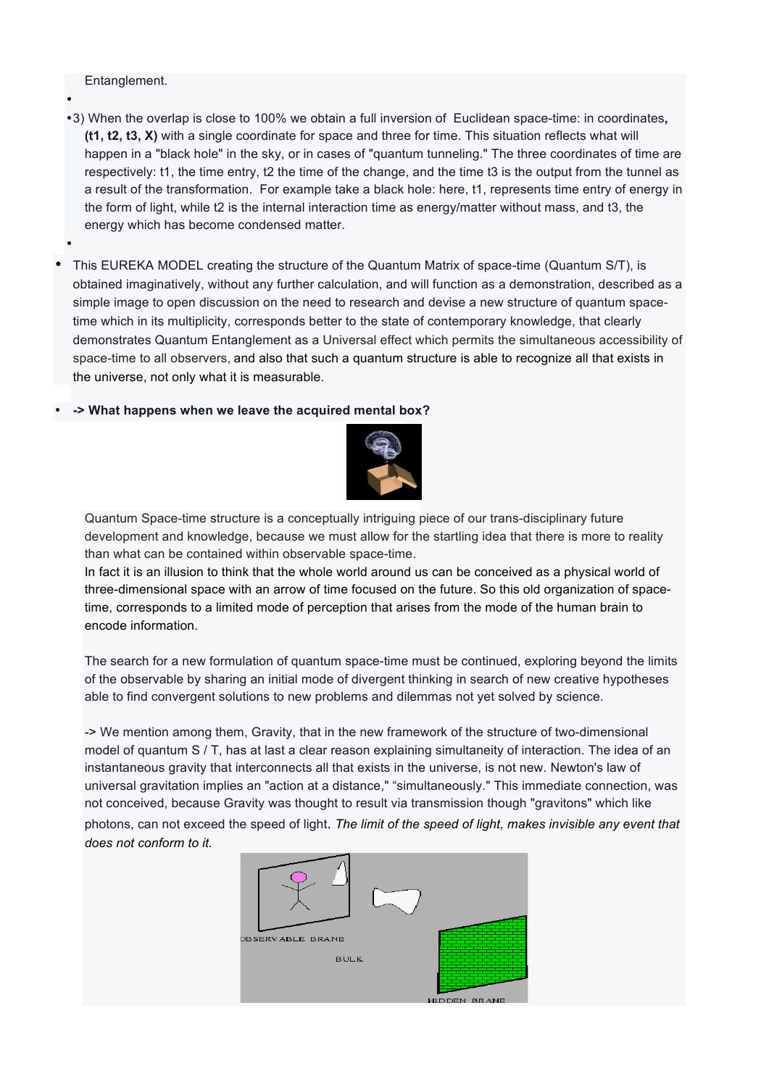Entanglement.

•

- •3) When the overlap is close to 100% we obtain a full inversion of Euclidean space-time: in coordinates**, (t1, t2, t3, X)** with a single coordinate for space and three for time. This situation reflects what will happen in a "black hole" in the sky, or in cases of "quantum tunneling." The three coordinates of time are respectively: t1, the time entry, t2 the time of the change, and the time t3 is the output from the tunnel as a result of the transformation. For example take a black hole: here, t1, represents time entry of energy in the form of light, while t2 is the internal interaction time as energy/matter without mass, and t3, the energy which has become condensed matter.
- This EUREKA MODEL creating the structure of the Quantum Matrix of space-time (Quantum S/T), is obtained imaginatively, without any further calculation, and will function as a demonstration, described as a simple image to open discussion on the need to research and devise a new structure of quantum spacetime which in its multiplicity, corresponds better to the state of contemporary knowledge, that clearly demonstrates Quantum Entanglement as a Universal effect which permits the simultaneous accessibility of space-time to all observers, and also that such a quantum structure is able to recognize all that exists in the universe, not only what it is measurable.

## • **-> What happens when we leave the acquired mental box?**



Quantum Space-time structure is a conceptually intriguing piece of our trans-disciplinary future development and knowledge, because we must allow for the startling idea that there is more to reality than what can be contained within observable space-time.

In fact it is an illusion to think that the whole world around us can be conceived as a physical world of three-dimensional space with an arrow of time focused on the future. So this old organization of spacetime, corresponds to a limited mode of perception that arises from the mode of the human brain to encode information.

The search for a new formulation of quantum space-time must be continued, exploring beyond the limits of the observable by sharing an initial mode of divergent thinking in search of new creative hypotheses able to find convergent solutions to new problems and dilemmas not yet solved by science.

-> We mention among them, Gravity, that in the new framework of the structure of two-dimensional model of quantum S / T, has at last a clear reason explaining simultaneity of interaction. The idea of an instantaneous gravity that interconnects all that exists in the universe, is not new. Newton's law of universal gravitation implies an "action at a distance," "simultaneously." This immediate connection, was not conceived, because Gravity was thought to result via transmission though "gravitons" which like photons, can not exceed the speed of light. *The limit of the speed of light, makes invisible any event that does not conform to it.*

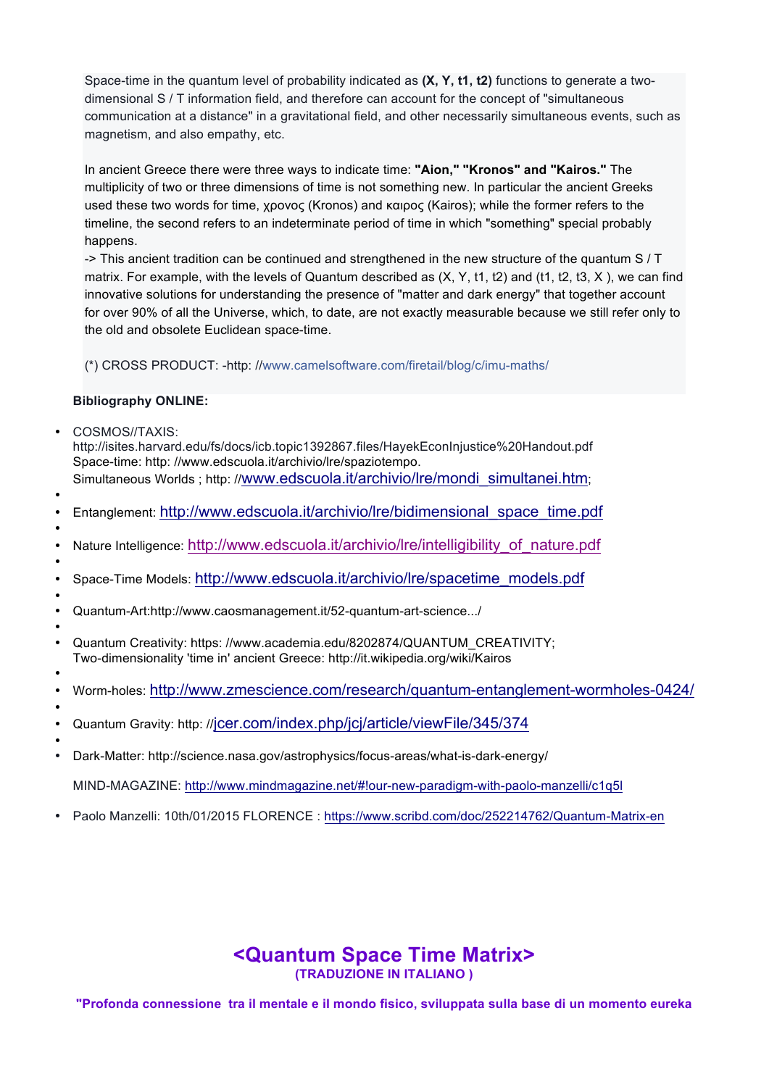Space-time in the quantum level of probability indicated as **(X, Y, t1, t2)** functions to generate a twodimensional S / T information field, and therefore can account for the concept of "simultaneous communication at a distance" in a gravitational field, and other necessarily simultaneous events, such as magnetism, and also empathy, etc.

In ancient Greece there were three ways to indicate time: **"Aion," "Kronos" and "Kairos."** The multiplicity of two or three dimensions of time is not something new. In particular the ancient Greeks used these two words for time, χρονος (Kronos) and καιρος (Kairos); while the former refers to the timeline, the second refers to an indeterminate period of time in which "something" special probably happens.

-> This ancient tradition can be continued and strengthened in the new structure of the quantum S / T matrix. For example, with the levels of Quantum described as  $(X, Y, t1, t2)$  and (t1, t2, t3, X), we can find innovative solutions for understanding the presence of "matter and dark energy" that together account for over 90% of all the Universe, which, to date, are not exactly measurable because we still refer only to the old and obsolete Euclidean space-time.

(\*) CROSS PRODUCT: -http: //www.camelsoftware.com/firetail/blog/c/imu-maths/

## **Bibliography ONLINE:**

• COSMOS//TAXIS:

http://isites.harvard.edu/fs/docs/icb.topic1392867.files/HayekEconInjustice%20Handout.pdf Space-time: http: //www.edscuola.it/archivio/lre/spaziotempo. Simultaneous Worlds; http://www.edscuola.it/archivio/lre/mondi\_simultanei.htm;

- •
- Entanglement: http://www.edscuola.it/archivio/lre/bidimensional\_space\_time.pdf
- Nature Intelligence: http://www.edscuola.it/archivio/lre/intelligibility\_of\_nature.pdf
- • Space-Time Models: http://www.edscuola.it/archivio/lre/spacetime\_models.pdf
- • Quantum-Art:http://www.caosmanagement.it/52-quantum-art-science.../
- • Quantum Creativity: https: //www.academia.edu/8202874/QUANTUM\_CREATIVITY; Two-dimensionality 'time in' ancient Greece: http://it.wikipedia.org/wiki/Kairos
- • Worm-holes: http://www.zmescience.com/research/quantum-entanglement-wormholes-0424/
- •
- Quantum Gravity: http: //jcer.com/index.php/jcj/article/viewFile/345/374
- • Dark-Matter: http://science.nasa.gov/astrophysics/focus-areas/what-is-dark-energy/

MIND-MAGAZINE: http://www.mindmagazine.net/#!our-new-paradigm-with-paolo-manzelli/c1q5l

• Paolo Manzelli: 10th/01/2015 FLORENCE : https://www.scribd.com/doc/252214762/Quantum-Matrix-en

# **<Quantum Space Time Matrix> (TRADUZIONE IN ITALIANO )**

**"Profonda connessione tra il mentale e il mondo fisico, sviluppata sulla base di un momento eureka**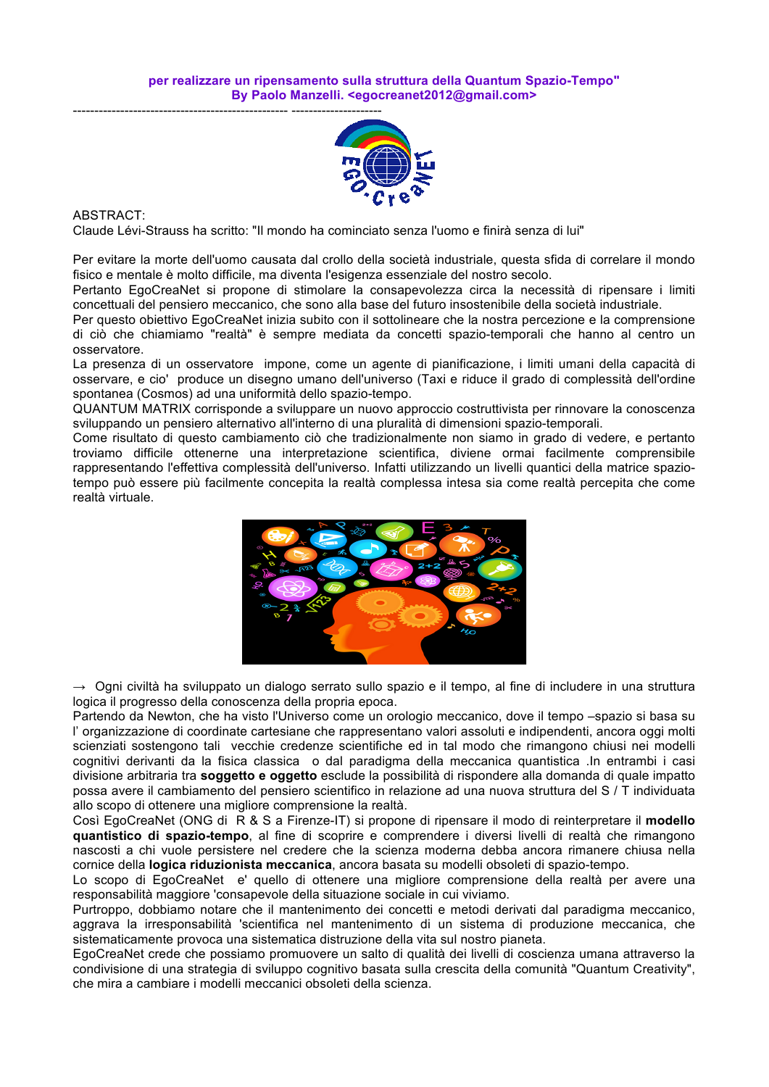

ABSTRACT:

Claude Lévi-Strauss ha scritto: "Il mondo ha cominciato senza l'uomo e finirà senza di lui"

Per evitare la morte dell'uomo causata dal crollo della società industriale, questa sfida di correlare il mondo fisico e mentale è molto difficile, ma diventa l'esigenza essenziale del nostro secolo.

Pertanto EgoCreaNet si propone di stimolare la consapevolezza circa la necessità di ripensare i limiti concettuali del pensiero meccanico, che sono alla base del futuro insostenibile della società industriale.

Per questo obiettivo EgoCreaNet inizia subito con il sottolineare che la nostra percezione e la comprensione di ciò che chiamiamo "realtà" è sempre mediata da concetti spazio-temporali che hanno al centro un osservatore.

La presenza di un osservatore impone, come un agente di pianificazione, i limiti umani della capacità di osservare, e cio' produce un disegno umano dell'universo (Taxi e riduce il grado di complessità dell'ordine spontanea (Cosmos) ad una uniformità dello spazio-tempo.

QUANTUM MATRIX corrisponde a sviluppare un nuovo approccio costruttivista per rinnovare la conoscenza sviluppando un pensiero alternativo all'interno di una pluralità di dimensioni spazio-temporali.

Come risultato di questo cambiamento ciò che tradizionalmente non siamo in grado di vedere, e pertanto troviamo difficile ottenerne una interpretazione scientifica, diviene ormai facilmente comprensibile rappresentando l'effettiva complessità dell'universo. Infatti utilizzando un livelli quantici della matrice spaziotempo può essere più facilmente concepita la realtà complessa intesa sia come realtà percepita che come realtà virtuale.



→ Ogni civiltà ha sviluppato un dialogo serrato sullo spazio e il tempo, al fine di includere in una struttura logica il progresso della conoscenza della propria epoca.

Partendo da Newton, che ha visto l'Universo come un orologio meccanico, dove il tempo –spazio si basa su l' organizzazione di coordinate cartesiane che rappresentano valori assoluti e indipendenti, ancora oggi molti scienziati sostengono tali vecchie credenze scientifiche ed in tal modo che rimangono chiusi nei modelli cognitivi derivanti da la fisica classica o dal paradigma della meccanica quantistica .In entrambi i casi divisione arbitraria tra **soggetto e oggetto** esclude la possibilità di rispondere alla domanda di quale impatto possa avere il cambiamento del pensiero scientifico in relazione ad una nuova struttura del S / T individuata allo scopo di ottenere una migliore comprensione la realtà.

Così EgoCreaNet (ONG di R & S a Firenze-IT) si propone di ripensare il modo di reinterpretare il **modello quantistico di spazio-tempo**, al fine di scoprire e comprendere i diversi livelli di realtà che rimangono nascosti a chi vuole persistere nel credere che la scienza moderna debba ancora rimanere chiusa nella cornice della **logica riduzionista meccanica**, ancora basata su modelli obsoleti di spazio-tempo.

Lo scopo di EgoCreaNet e' quello di ottenere una migliore comprensione della realtà per avere una responsabilità maggiore 'consapevole della situazione sociale in cui viviamo.

Purtroppo, dobbiamo notare che il mantenimento dei concetti e metodi derivati dal paradigma meccanico, aggrava la irresponsabilità 'scientifica nel mantenimento di un sistema di produzione meccanica, che sistematicamente provoca una sistematica distruzione della vita sul nostro pianeta.

EgoCreaNet crede che possiamo promuovere un salto di qualità dei livelli di coscienza umana attraverso la condivisione di una strategia di sviluppo cognitivo basata sulla crescita della comunità "Quantum Creativity", che mira a cambiare i modelli meccanici obsoleti della scienza.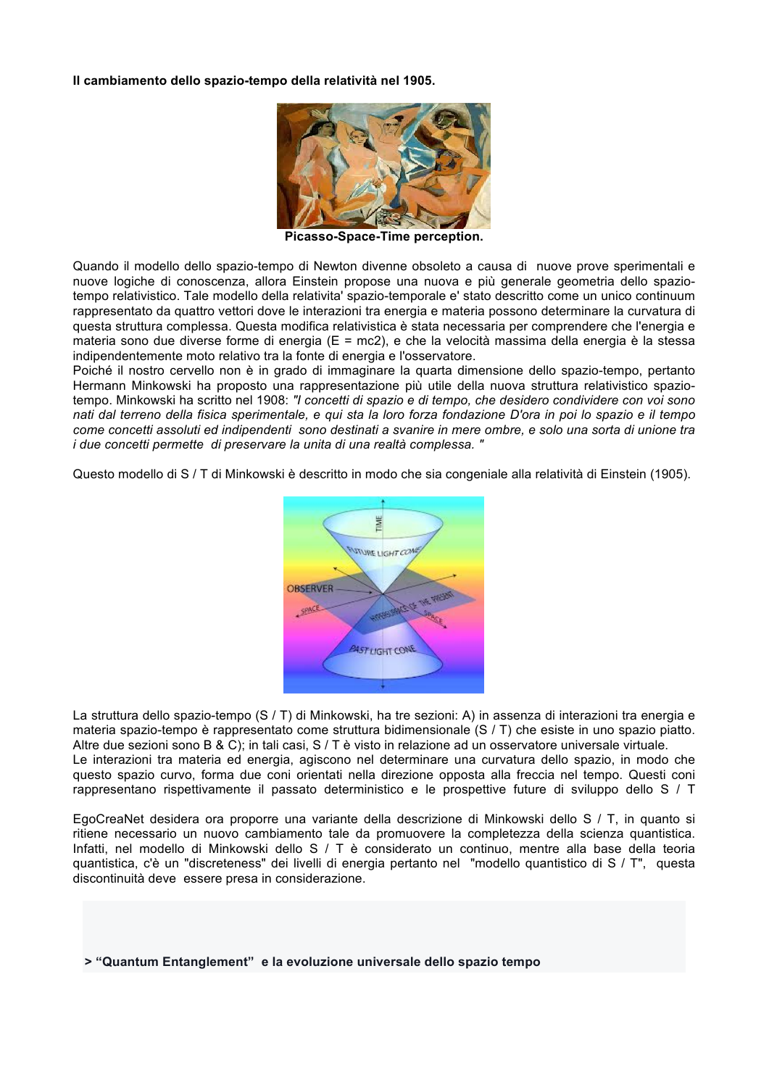**Il cambiamento dello spazio-tempo della relatività nel 1905.**



**Picasso-Space-Time perception.**

Quando il modello dello spazio-tempo di Newton divenne obsoleto a causa di nuove prove sperimentali e nuove logiche di conoscenza, allora Einstein propose una nuova e più generale geometria dello spaziotempo relativistico. Tale modello della relativita' spazio-temporale e' stato descritto come un unico continuum rappresentato da quattro vettori dove le interazioni tra energia e materia possono determinare la curvatura di questa struttura complessa. Questa modifica relativistica è stata necessaria per comprendere che l'energia e materia sono due diverse forme di energia (E = mc2), e che la velocità massima della energia è la stessa indipendentemente moto relativo tra la fonte di energia e l'osservatore.

Poiché il nostro cervello non è in grado di immaginare la quarta dimensione dello spazio-tempo, pertanto Hermann Minkowski ha proposto una rappresentazione più utile della nuova struttura relativistico spaziotempo. Minkowski ha scritto nel 1908: *"I concetti di spazio e di tempo, che desidero condividere con voi sono nati dal terreno della fisica sperimentale, e qui sta la loro forza fondazione D'ora in poi lo spazio e il tempo come concetti assoluti ed indipendenti sono destinati a svanire in mere ombre, e solo una sorta di unione tra i due concetti permette di preservare la unita di una realtà complessa. "*

Questo modello di S / T di Minkowski è descritto in modo che sia congeniale alla relatività di Einstein (1905).



La struttura dello spazio-tempo (S / T) di Minkowski, ha tre sezioni: A) in assenza di interazioni tra energia e materia spazio-tempo è rappresentato come struttura bidimensionale (S / T) che esiste in uno spazio piatto. Altre due sezioni sono B & C); in tali casi, S / T è visto in relazione ad un osservatore universale virtuale. Le interazioni tra materia ed energia, agiscono nel determinare una curvatura dello spazio, in modo che questo spazio curvo, forma due coni orientati nella direzione opposta alla freccia nel tempo. Questi coni rappresentano rispettivamente il passato deterministico e le prospettive future di sviluppo dello S / T

EgoCreaNet desidera ora proporre una variante della descrizione di Minkowski dello S / T, in quanto si ritiene necessario un nuovo cambiamento tale da promuovere la completezza della scienza quantistica. Infatti, nel modello di Minkowski dello S / T è considerato un continuo, mentre alla base della teoria quantistica, c'è un "discreteness" dei livelli di energia pertanto nel "modello quantistico di S / T", questa discontinuità deve essere presa in considerazione.

**> "Quantum Entanglement" e la evoluzione universale dello spazio tempo**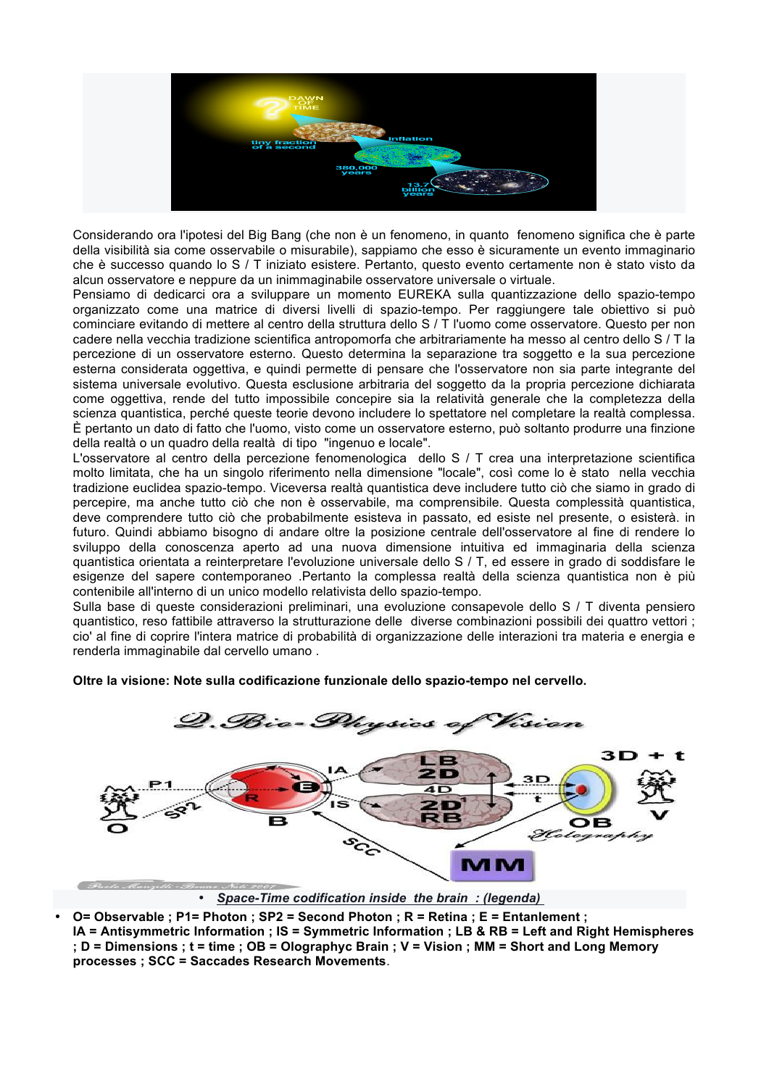

Considerando ora l'ipotesi del Big Bang (che non è un fenomeno, in quanto fenomeno significa che è parte della visibilità sia come osservabile o misurabile), sappiamo che esso è sicuramente un evento immaginario che è successo quando lo S / T iniziato esistere. Pertanto, questo evento certamente non è stato visto da alcun osservatore e neppure da un inimmaginabile osservatore universale o virtuale.

Pensiamo di dedicarci ora a sviluppare un momento EUREKA sulla quantizzazione dello spazio-tempo organizzato come una matrice di diversi livelli di spazio-tempo. Per raggiungere tale obiettivo si può cominciare evitando di mettere al centro della struttura dello S / T l'uomo come osservatore. Questo per non cadere nella vecchia tradizione scientifica antropomorfa che arbitrariamente ha messo al centro dello S / T la percezione di un osservatore esterno. Questo determina la separazione tra soggetto e la sua percezione esterna considerata oggettiva, e quindi permette di pensare che l'osservatore non sia parte integrante del sistema universale evolutivo. Questa esclusione arbitraria del soggetto da la propria percezione dichiarata come oggettiva, rende del tutto impossibile concepire sia la relatività generale che la completezza della scienza quantistica, perché queste teorie devono includere lo spettatore nel completare la realtà complessa. È pertanto un dato di fatto che l'uomo, visto come un osservatore esterno, può soltanto produrre una finzione della realtà o un quadro della realtà di tipo "ingenuo e locale".

L'osservatore al centro della percezione fenomenologica dello S / T crea una interpretazione scientifica molto limitata, che ha un singolo riferimento nella dimensione "locale", così come lo è stato nella vecchia tradizione euclidea spazio-tempo. Viceversa realtà quantistica deve includere tutto ciò che siamo in grado di percepire, ma anche tutto ciò che non è osservabile, ma comprensibile. Questa complessità quantistica, deve comprendere tutto ciò che probabilmente esisteva in passato, ed esiste nel presente, o esisterà. in futuro. Quindi abbiamo bisogno di andare oltre la posizione centrale dell'osservatore al fine di rendere lo sviluppo della conoscenza aperto ad una nuova dimensione intuitiva ed immaginaria della scienza quantistica orientata a reinterpretare l'evoluzione universale dello S / T, ed essere in grado di soddisfare le esigenze del sapere contemporaneo .Pertanto la complessa realtà della scienza quantistica non è più contenibile all'interno di un unico modello relativista dello spazio-tempo.

Sulla base di queste considerazioni preliminari, una evoluzione consapevole dello S / T diventa pensiero quantistico, reso fattibile attraverso la strutturazione delle diverse combinazioni possibili dei quattro vettori ; cio' al fine di coprire l'intera matrice di probabilità di organizzazione delle interazioni tra materia e energia e renderla immaginabile dal cervello umano .

**Oltre la visione: Note sulla codificazione funzionale dello spazio-tempo nel cervello.**



• *Space-Time codification inside the brain : (legenda)* 

• **O= Observable ; P1= Photon ; SP2 = Second Photon ; R = Retina ; E = Entanlement ; IA = Antisymmetric Information ; IS = Symmetric Information ; LB & RB = Left and Right Hemispheres ; D = Dimensions ; t = time ; OB = Olographyc Brain ; V = Vision ; MM = Short and Long Memory processes ; SCC = Saccades Research Movements**.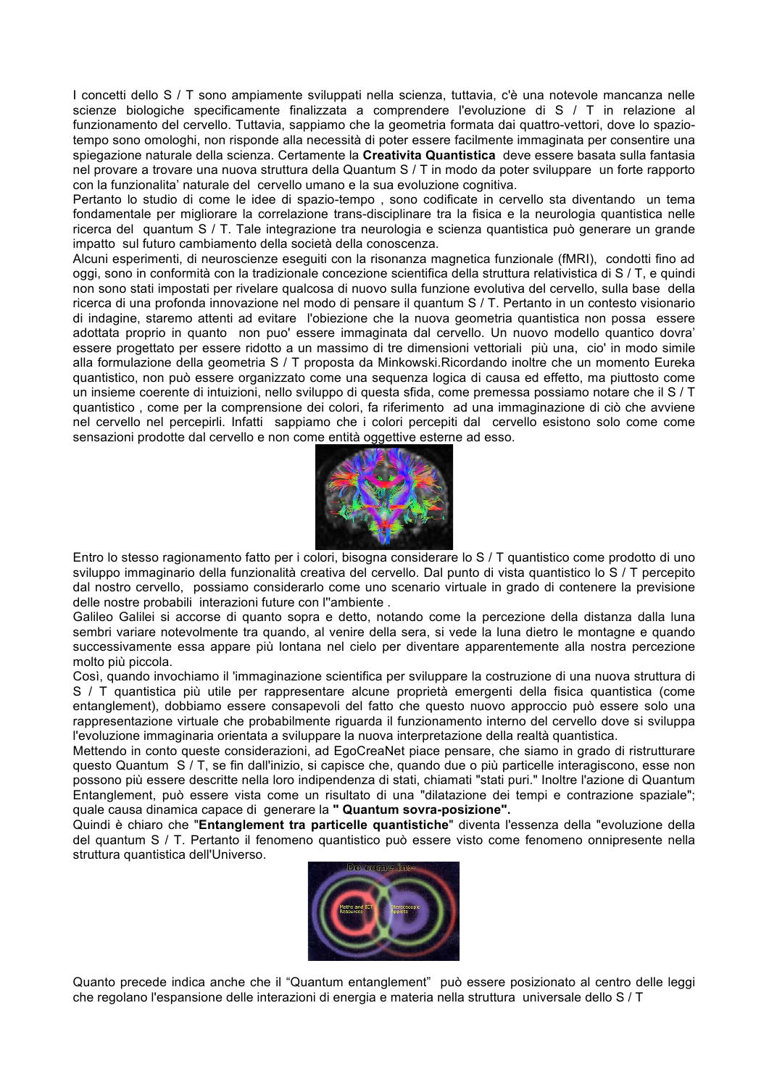I concetti dello S / T sono ampiamente sviluppati nella scienza, tuttavia, c'è una notevole mancanza nelle scienze biologiche specificamente finalizzata a comprendere l'evoluzione di S / T in relazione al funzionamento del cervello. Tuttavia, sappiamo che la geometria formata dai quattro-vettori, dove lo spaziotempo sono omologhi, non risponde alla necessità di poter essere facilmente immaginata per consentire una spiegazione naturale della scienza. Certamente la **Creativita Quantistica** deve essere basata sulla fantasia nel provare a trovare una nuova struttura della Quantum S / T in modo da poter sviluppare un forte rapporto con la funzionalita' naturale del cervello umano e la sua evoluzione cognitiva.

Pertanto lo studio di come le idee di spazio-tempo , sono codificate in cervello sta diventando un tema fondamentale per migliorare la correlazione trans-disciplinare tra la fisica e la neurologia quantistica nelle ricerca del quantum S / T. Tale integrazione tra neurologia e scienza quantistica può generare un grande impatto sul futuro cambiamento della società della conoscenza.

Alcuni esperimenti, di neuroscienze eseguiti con la risonanza magnetica funzionale (fMRI), condotti fino ad oggi, sono in conformità con la tradizionale concezione scientifica della struttura relativistica di S / T, e quindi non sono stati impostati per rivelare qualcosa di nuovo sulla funzione evolutiva del cervello, sulla base della ricerca di una profonda innovazione nel modo di pensare il quantum S / T. Pertanto in un contesto visionario di indagine, staremo attenti ad evitare l'obiezione che la nuova geometria quantistica non possa essere adottata proprio in quanto non puo' essere immaginata dal cervello. Un nuovo modello quantico dovra' essere progettato per essere ridotto a un massimo di tre dimensioni vettoriali più una, cio' in modo simile alla formulazione della geometria S / T proposta da Minkowski.Ricordando inoltre che un momento Eureka quantistico, non può essere organizzato come una sequenza logica di causa ed effetto, ma piuttosto come un insieme coerente di intuizioni, nello sviluppo di questa sfida, come premessa possiamo notare che il S / T quantistico , come per la comprensione dei colori, fa riferimento ad una immaginazione di ciò che avviene nel cervello nel percepirli. Infatti sappiamo che i colori percepiti dal cervello esistono solo come come sensazioni prodotte dal cervello e non come entità oggettive esterne ad esso.



Entro lo stesso ragionamento fatto per i colori, bisogna considerare lo S / T quantistico come prodotto di uno sviluppo immaginario della funzionalità creativa del cervello. Dal punto di vista quantistico lo S / T percepito dal nostro cervello, possiamo considerarlo come uno scenario virtuale in grado di contenere la previsione delle nostre probabili interazioni future con l''ambiente .

Galileo Galilei si accorse di quanto sopra e detto, notando come la percezione della distanza dalla luna sembri variare notevolmente tra quando, al venire della sera, si vede la luna dietro le montagne e quando successivamente essa appare più lontana nel cielo per diventare apparentemente alla nostra percezione molto più piccola.

Così, quando invochiamo il 'immaginazione scientifica per sviluppare la costruzione di una nuova struttura di S / T quantistica più utile per rappresentare alcune proprietà emergenti della fisica quantistica (come entanglement), dobbiamo essere consapevoli del fatto che questo nuovo approccio può essere solo una rappresentazione virtuale che probabilmente riguarda il funzionamento interno del cervello dove si sviluppa l'evoluzione immaginaria orientata a sviluppare la nuova interpretazione della realtà quantistica.

Mettendo in conto queste considerazioni, ad EgoCreaNet piace pensare, che siamo in grado di ristrutturare questo Quantum S / T, se fin dall'inizio, si capisce che, quando due o più particelle interagiscono, esse non possono più essere descritte nella loro indipendenza di stati, chiamati "stati puri." Inoltre l'azione di Quantum Entanglement, può essere vista come un risultato di una "dilatazione dei tempi e contrazione spaziale"; quale causa dinamica capace di generare la **" Quantum sovra-posizione".**

Quindi è chiaro che "**Entanglement tra particelle quantistiche**" diventa l'essenza della "evoluzione della del quantum S / T. Pertanto il fenomeno quantistico può essere visto come fenomeno onnipresente nella struttura quantistica dell'Universo.



Quanto precede indica anche che il "Quantum entanglement" può essere posizionato al centro delle leggi che regolano l'espansione delle interazioni di energia e materia nella struttura universale dello S / T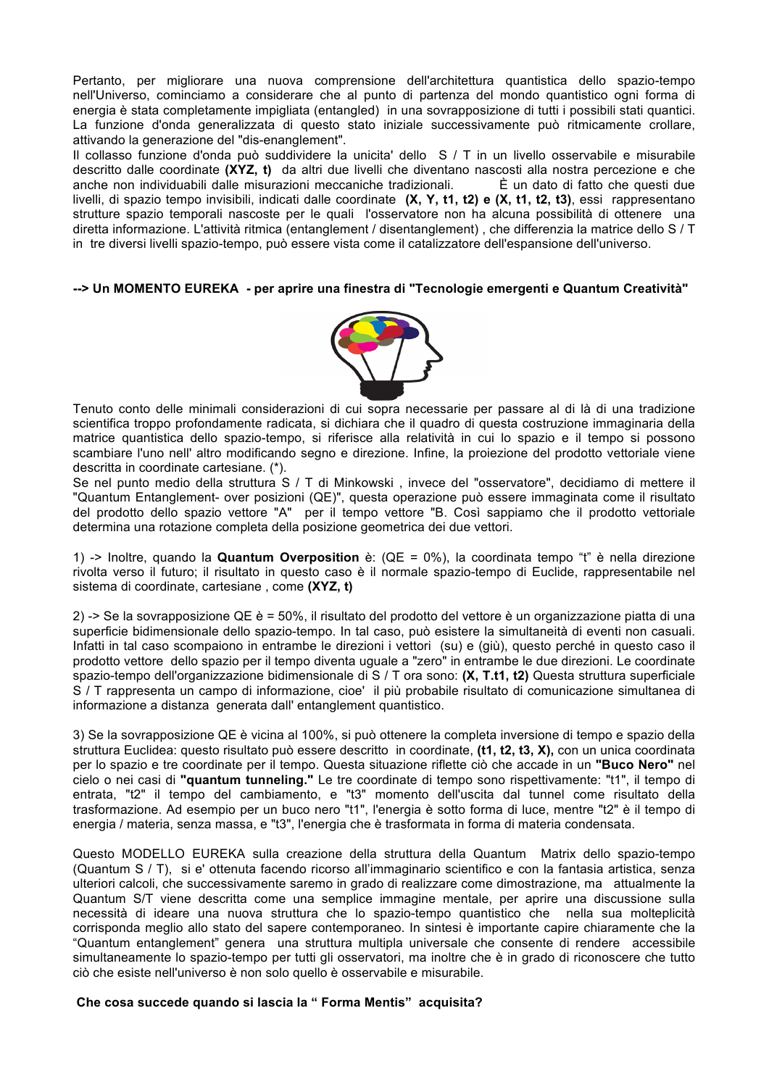Pertanto, per migliorare una nuova comprensione dell'architettura quantistica dello spazio-tempo nell'Universo, cominciamo a considerare che al punto di partenza del mondo quantistico ogni forma di energia è stata completamente impigliata (entangled) in una sovrapposizione di tutti i possibili stati quantici. La funzione d'onda generalizzata di questo stato iniziale successivamente può ritmicamente crollare, attivando la generazione del "dis-enanglement".

Il collasso funzione d'onda può suddividere la unicita' dello S / T in un livello osservabile e misurabile descritto dalle coordinate **(XYZ, t)** da altri due livelli che diventano nascosti alla nostra percezione e che anche non individuabili dalle misurazioni meccaniche tradizionali. È un dato di fatto che questi due livelli, di spazio tempo invisibili, indicati dalle coordinate **(X, Y, t1, t2) e (X, t1, t2, t3)**, essi rappresentano strutture spazio temporali nascoste per le quali l'osservatore non ha alcuna possibilità di ottenere una diretta informazione. L'attività ritmica (entanglement / disentanglement) , che differenzia la matrice dello S / T in tre diversi livelli spazio-tempo, può essere vista come il catalizzatore dell'espansione dell'universo.

#### **--> Un MOMENTO EUREKA - per aprire una finestra di "Tecnologie emergenti e Quantum Creatività"**



Tenuto conto delle minimali considerazioni di cui sopra necessarie per passare al di là di una tradizione scientifica troppo profondamente radicata, si dichiara che il quadro di questa costruzione immaginaria della matrice quantistica dello spazio-tempo, si riferisce alla relatività in cui lo spazio e il tempo si possono scambiare l'uno nell' altro modificando segno e direzione. Infine, la proiezione del prodotto vettoriale viene descritta in coordinate cartesiane. (\*).

Se nel punto medio della struttura S / T di Minkowski , invece del "osservatore", decidiamo di mettere il "Quantum Entanglement- over posizioni (QE)", questa operazione può essere immaginata come il risultato del prodotto dello spazio vettore "A" per il tempo vettore "B. Così sappiamo che il prodotto vettoriale determina una rotazione completa della posizione geometrica dei due vettori.

1) -> Inoltre, quando la **Quantum Overposition** è: (QE = 0%), la coordinata tempo "t" è nella direzione rivolta verso il futuro; il risultato in questo caso è il normale spazio-tempo di Euclide, rappresentabile nel sistema di coordinate, cartesiane , come **(XYZ, t)**

2) -> Se la sovrapposizione QE è = 50%, il risultato del prodotto del vettore è un organizzazione piatta di una superficie bidimensionale dello spazio-tempo. In tal caso, può esistere la simultaneità di eventi non casuali. Infatti in tal caso scompaiono in entrambe le direzioni i vettori (su) e (giù), questo perché in questo caso il prodotto vettore dello spazio per il tempo diventa uguale a "zero" in entrambe le due direzioni. Le coordinate spazio-tempo dell'organizzazione bidimensionale di S / T ora sono: **(X, T.t1, t2)** Questa struttura superficiale S / T rappresenta un campo di informazione, cioe' il più probabile risultato di comunicazione simultanea di informazione a distanza generata dall' entanglement quantistico.

3) Se la sovrapposizione QE è vicina al 100%, si può ottenere la completa inversione di tempo e spazio della struttura Euclidea: questo risultato può essere descritto in coordinate, **(t1, t2, t3, X),** con un unica coordinata per lo spazio e tre coordinate per il tempo. Questa situazione riflette ciò che accade in un **"Buco Nero"** nel cielo o nei casi di **"quantum tunneling."** Le tre coordinate di tempo sono rispettivamente: "t1", il tempo di entrata, "t2" il tempo del cambiamento, e "t3" momento dell'uscita dal tunnel come risultato della trasformazione. Ad esempio per un buco nero "t1", l'energia è sotto forma di luce, mentre "t2" è il tempo di energia / materia, senza massa, e "t3", l'energia che è trasformata in forma di materia condensata.

Questo MODELLO EUREKA sulla creazione della struttura della Quantum Matrix dello spazio-tempo (Quantum S / T), si e' ottenuta facendo ricorso all'immaginario scientifico e con la fantasia artistica, senza ulteriori calcoli, che successivamente saremo in grado di realizzare come dimostrazione, ma attualmente la Quantum S/T viene descritta come una semplice immagine mentale, per aprire una discussione sulla necessità di ideare una nuova struttura che lo spazio-tempo quantistico che nella sua molteplicità corrisponda meglio allo stato del sapere contemporaneo. In sintesi è importante capire chiaramente che la "Quantum entanglement" genera una struttura multipla universale che consente di rendere accessibile simultaneamente lo spazio-tempo per tutti gli osservatori, ma inoltre che è in grado di riconoscere che tutto ciò che esiste nell'universo è non solo quello è osservabile e misurabile.

#### **Che cosa succede quando si lascia la " Forma Mentis" acquisita?**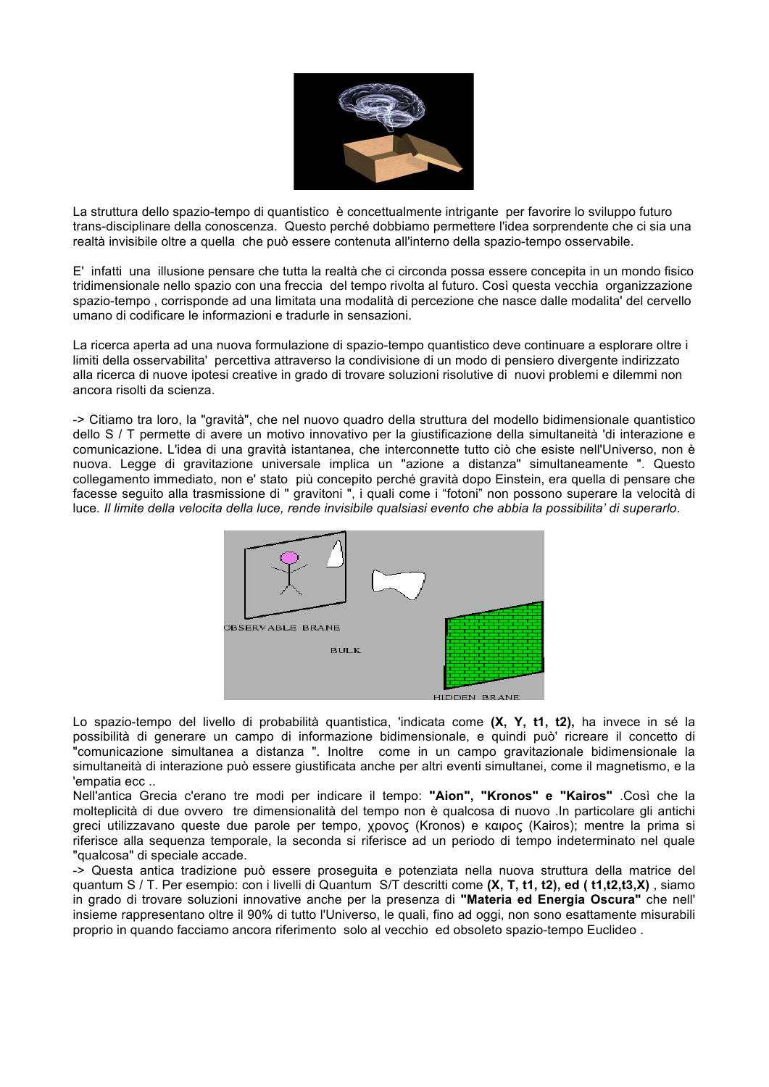

La struttura dello spazio-tempo di quantistico è concettualmente intrigante per favorire lo sviluppo futuro trans-disciplinare della conoscenza. Questo perché dobbiamo permettere l'idea sorprendente che ci sia una realtà invisibile oltre a quella che può essere contenuta all'interno della spazio-tempo osservabile.

E' infatti una illusione pensare che tutta la realtà che ci circonda possa essere concepita in un mondo fisico tridimensionale nello spazio con una freccia del tempo rivolta al futuro. Così questa vecchia organizzazione spazio-tempo , corrisponde ad una limitata una modalità di percezione che nasce dalle modalita' del cervello umano di codificare le informazioni e tradurle in sensazioni.

La ricerca aperta ad una nuova formulazione di spazio-tempo quantistico deve continuare a esplorare oltre i limiti della osservabilita' percettiva attraverso la condivisione di un modo di pensiero divergente indirizzato alla ricerca di nuove ipotesi creative in grado di trovare soluzioni risolutive di nuovi problemi e dilemmi non ancora risolti da scienza.

-> Citiamo tra loro, la "gravità", che nel nuovo quadro della struttura del modello bidimensionale quantistico dello S / T permette di avere un motivo innovativo per la giustificazione della simultaneità 'di interazione e comunicazione. L'idea di una gravità istantanea, che interconnette tutto ciò che esiste nell'Universo, non è nuova. Legge di gravitazione universale implica un "azione a distanza" simultaneamente ". Questo collegamento immediato, non e' stato più concepito perché gravità dopo Einstein, era quella di pensare che facesse seguito alla trasmissione di " gravitoni ", i quali come i "fotoni" non possono superare la velocità di luce*. Il limite della velocita della luce, rende invisibile qualsiasi evento che abbia la possibilita' di superarlo*.



Lo spazio-tempo del livello di probabilità quantistica, 'indicata come **(X, Y, t1, t2),** ha invece in sé la possibilità di generare un campo di informazione bidimensionale, e quindi può' ricreare il concetto di "comunicazione simultanea a distanza ". Inoltre come in un campo gravitazionale bidimensionale la simultaneità di interazione può essere giustificata anche per altri eventi simultanei, come il magnetismo, e la 'empatia ecc ..

Nell'antica Grecia c'erano tre modi per indicare il tempo: **"Aion", "Kronos" e "Kairos"** .Così che la molteplicità di due ovvero tre dimensionalità del tempo non è qualcosa di nuovo .In particolare gli antichi greci utilizzavano queste due parole per tempo, χρονος (Kronos) e καιρος (Kairos); mentre la prima si riferisce alla sequenza temporale, la seconda si riferisce ad un periodo di tempo indeterminato nel quale "qualcosa" di speciale accade.

-> Questa antica tradizione può essere proseguita e potenziata nella nuova struttura della matrice del quantum S / T. Per esempio: con i livelli di Quantum S/T descritti come **(X, T, t1, t2), ed ( t1,t2,t3,X)** , siamo in grado di trovare soluzioni innovative anche per la presenza di **"Materia ed Energia Oscura"** che nell' insieme rappresentano oltre il 90% di tutto l'Universo, le quali, fino ad oggi, non sono esattamente misurabili proprio in quando facciamo ancora riferimento solo al vecchio ed obsoleto spazio-tempo Euclideo .